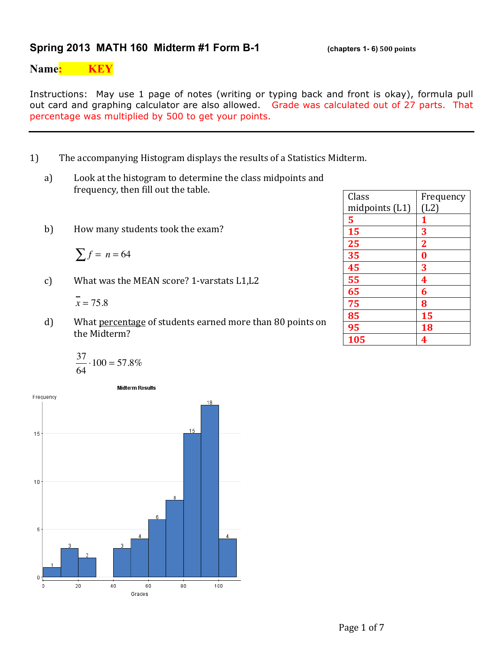#### **Spring 2013 MATH 160 Midterm #1 Form B-1** (chapters 1-6) 500 points

**Name: KEY**

Instructions: May use 1 page of notes (writing or typing back and front is okay), formula pull out card and graphing calculator are also allowed. Grade was calculated out of 27 parts. That percentage was multiplied by 500 to get your points.

- 1) The accompanying Histogram displays the results of a Statistics Midterm.
	- a) Look at the histogram to determine the class midpoints and frequency, then fill out the table.
	- b) How many students took the exam?

$$
\sum f = n = 64
$$

c) What was the MEAN score? 1-varstats L1,L2

$$
\overline{x} = 75.8
$$

d) What percentage of students earned more than 80 points on the Midterm?

$$
\frac{37}{64} \cdot 100 = 57.8\%
$$



| Class            | Frequency      |
|------------------|----------------|
| midpoints $(L1)$ | (L2)           |
| 5                | 1              |
| 15               | 3              |
| 25               | $\overline{2}$ |
| 35               | $\bf{0}$       |
| 45               | 3              |
| 55               | 4              |
| 65               | 6              |
| 75               | 8              |
| 85               | 15             |
| 95               | 18             |
| 105              | 4              |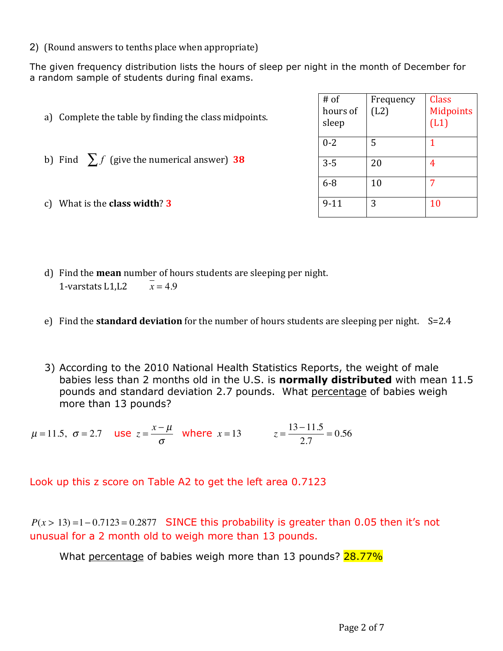2) (Round answers to tenths place when appropriate)

The given frequency distribution lists the hours of sleep per night in the month of December for a random sample of students during final exams.

| Complete the table by finding the class midpoints.<br>a) | $#$ of<br>hours of<br>sleep | Frequency<br>(L2) | Class<br><b>Midpoints</b><br>(L1) |
|----------------------------------------------------------|-----------------------------|-------------------|-----------------------------------|
| b) Find $\sum f$ (give the numerical answer) 38          | $0 - 2$<br>$3 - 5$          | 5<br>20           | 4                                 |
|                                                          | $6 - 8$                     | 10                |                                   |
| What is the <b>class width?</b> 3<br>C)                  | $9 - 11$                    | 3                 | 10                                |

- d) Find the **mean** number of hours students are sleeping per night. 1-varstats L1.L2  $\bar{x} = 4.9$
- e) Find the **standard deviation** for the number of hours students are sleeping per night. S=2.4
- 3) According to the 2010 National Health Statistics Reports, the weight of male babies less than 2 months old in the U.S. is **normally distributed** with mean 11.5 pounds and standard deviation 2.7 pounds. What percentage of babies weigh more than 13 pounds?

 $μ = 11.5, σ = 2.7$  use  $z = \frac{x - μ}{σ}$  where  $x = 13$   $z = \frac{13 - 11.5}{2.7} = 0.56$ 

Look up this z score on Table A2 to get the left area 0.7123

 $P(x > 13) = 1 - 0.7123 = 0.2877$  SINCE this probability is greater than 0.05 then it's not unusual for a 2 month old to weigh more than 13 pounds.

What percentage of babies weigh more than 13 pounds? 28.77%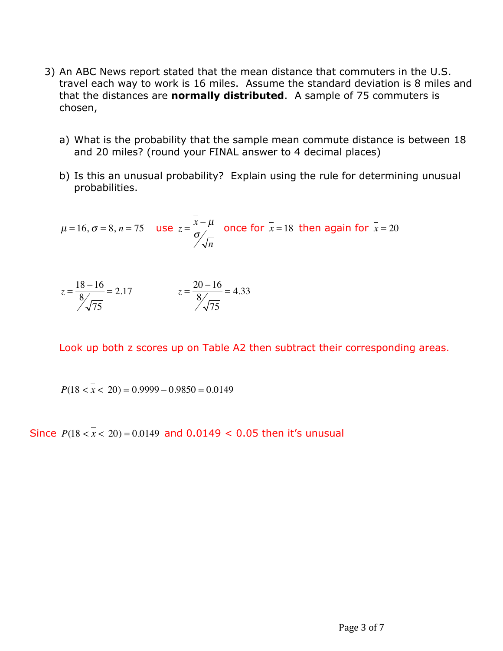- 3) An ABC News report stated that the mean distance that commuters in the U.S. travel each way to work is 16 miles. Assume the standard deviation is 8 miles and that the distances are **normally distributed**. A sample of 75 commuters is chosen,
	- a) What is the probability that the sample mean commute distance is between 18 and 20 miles? (round your FINAL answer to 4 decimal places)
	- b) Is this an unusual probability? Explain using the rule for determining unusual probabilities.

$$
\mu = 16, \sigma = 8, n = 75
$$
 use  $z = \frac{x - \mu}{\frac{\sigma}{\sqrt{n}}}$  once for  $\bar{x} = 18$  then again for  $\bar{x} = 20$ 

$$
z = \frac{18 - 16}{8} = 2.17
$$
  

$$
z = \frac{20 - 16}{8} = 4.33
$$

Look up both z scores up on Table A2 then subtract their corresponding areas.

 $P(18 < x < 20) = 0.9999 - 0.9850 = 0.0149$ 

Since  $P(18 < x < 20) = 0.0149$  and 0.0149 < 0.05 then it's unusual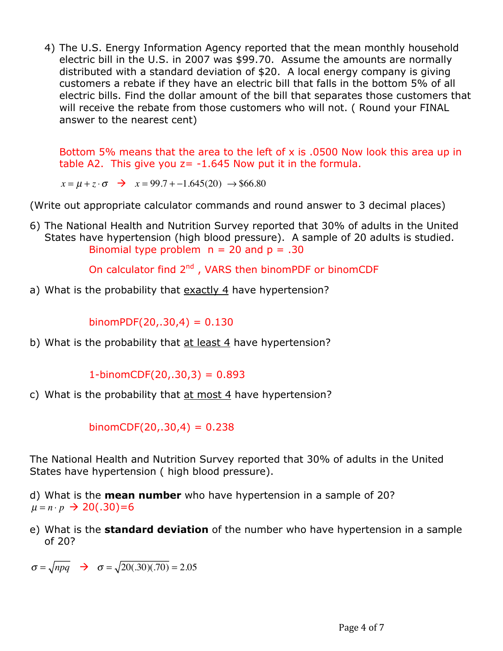4) The U.S. Energy Information Agency reported that the mean monthly household electric bill in the U.S. in 2007 was \$99.70. Assume the amounts are normally distributed with a standard deviation of \$20. A local energy company is giving customers a rebate if they have an electric bill that falls in the bottom 5% of all electric bills. Find the dollar amount of the bill that separates those customers that will receive the rebate from those customers who will not. ( Round your FINAL answer to the nearest cent)

Bottom 5% means that the area to the left of x is .0500 Now look this area up in table A2. This give you  $z = -1.645$  Now put it in the formula.

 $x = \mu + z \cdot \sigma$   $\rightarrow x = 99.7 + -1.645(20)$   $\rightarrow $66.80$ 

(Write out appropriate calculator commands and round answer to 3 decimal places)

6) The National Health and Nutrition Survey reported that 30% of adults in the United States have hypertension (high blood pressure). A sample of 20 adults is studied. Binomial type problem  $n = 20$  and  $p = .30$ 

On calculator find  $2^{nd}$ , VARS then binomPDF or binomCDF

a) What is the probability that exactly 4 have hypertension?

 $binom{PDF(20,.30,4) = 0.130}$ 

b) What is the probability that at least 4 have hypertension?

 $1-binomCDF(20,.30,3) = 0.893$ 

c) What is the probability that  $at$  most  $4$  have hypertension?

binomCDF $(20, 30, 4) = 0.238$ 

The National Health and Nutrition Survey reported that 30% of adults in the United States have hypertension ( high blood pressure).

d) What is the **mean number** who have hypertension in a sample of 20?  $\mu = n \cdot p \rightarrow 20(.30) = 6$ 

e) What is the **standard deviation** of the number who have hypertension in a sample of 20?

 $\sigma = \sqrt{npq}$   $\rightarrow \sigma = \sqrt{20(.30)(.70)} = 2.05$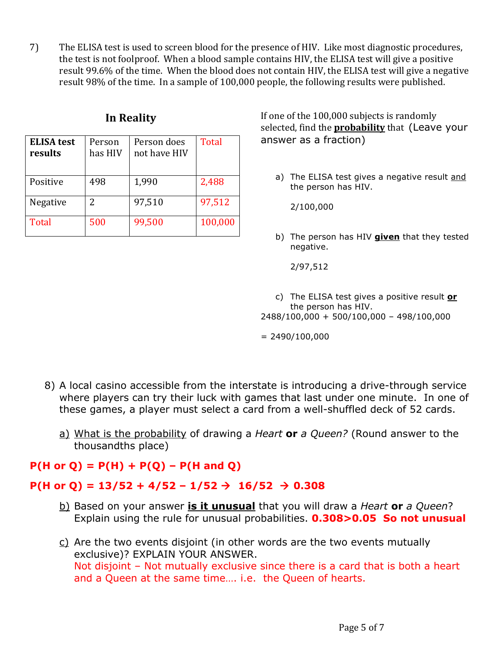7) The ELISA test is used to screen blood for the presence of HIV. Like most diagnostic procedures, the test is not foolproof. When a blood sample contains HIV, the ELISA test will give a positive result 99.6% of the time. When the blood does not contain HIV, the ELISA test will give a negative result 98% of the time. In a sample of 100,000 people, the following results were published.

| <b>ELISA</b> test<br>results | Person<br>has HIV | Person does<br>not have HIV | <b>Total</b> |
|------------------------------|-------------------|-----------------------------|--------------|
| Positive                     | 498               | 1,990                       | 2,488        |
| Negative                     | 2                 | 97,510                      | 97,512       |
| <b>Total</b>                 | 500               | 99,500                      | 100,000      |

**In Reality If one of the 100,000 subjects is randomly** selected, find the **probability** that (Leave your answer as a fraction)

> a) The ELISA test gives a negative result and the person has HIV.

2/100,000

b) The person has HIV **given** that they tested negative.

2/97,512

c) The ELISA test gives a positive result **or** the person has HIV. 2488/100,000 + 500/100,000 – 498/100,000

 $= 2490/100,000$ 

- 8) A local casino accessible from the interstate is introducing a drive-through service where players can try their luck with games that last under one minute. In one of these games, a player must select a card from a well-shuffled deck of 52 cards.
	- a) What is the probability of drawing a *Heart* **or** *a Queen?* (Round answer to the thousandths place)

## **P(H or Q) = P(H) + P(Q) – P(H and Q)**

### $P(H \text{ or } Q) = 13/52 + 4/52 - 1/52 \rightarrow 16/52 \rightarrow 0.308$

- b) Based on your answer **is it unusual** that you will draw a *Heart* **or** *a Queen*? Explain using the rule for unusual probabilities. **0.308>0.05 So not unusual**
- $c)$  Are the two events disjoint (in other words are the two events mutually exclusive)? EXPLAIN YOUR ANSWER. Not disjoint – Not mutually exclusive since there is a card that is both a heart and a Queen at the same time…. i.e. the Queen of hearts.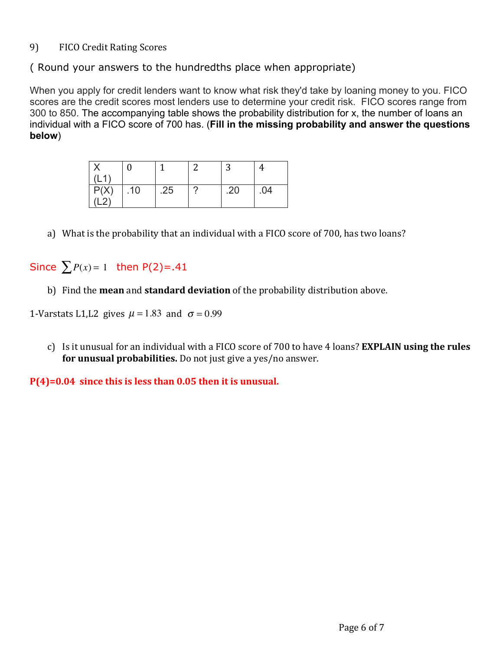#### 9) FICO Credit Rating Scores

( Round your answers to the hundredths place when appropriate)

When you apply for credit lenders want to know what risk they'd take by loaning money to you. FICO scores are the credit scores most lenders use to determine your credit risk. FICO scores range from 300 to 850. The accompanying table shows the probability distribution for x, the number of loans an individual with a FICO score of 700 has. (**Fill in the missing probability and answer the questions below**)

|                          |     |     |   | $\ddot{\phantom{0}}$ |     |
|--------------------------|-----|-----|---|----------------------|-----|
| $\overline{\phantom{a}}$ |     |     |   |                      |     |
| P(X)                     | .10 | .25 | r | .20                  | .04 |
|                          |     |     |   |                      |     |

a) What is the probability that an individual with a FICO score of 700, has two loans?

# Since  $\sum P(x) = 1$  then  $P(2) = .41$

b) Find the **mean** and **standard deviation** of the probability distribution above.

1-Varstats L1,L2 gives  $\mu = 1.83$  and  $\sigma = 0.99$ 

c) Is it unusual for an individual with a FICO score of 700 to have 4 loans? **EXPLAIN using the rules** for unusual probabilities. Do not just give a yes/no answer.

**P(4)=0.04** since this is less than 0.05 then it is unusual.